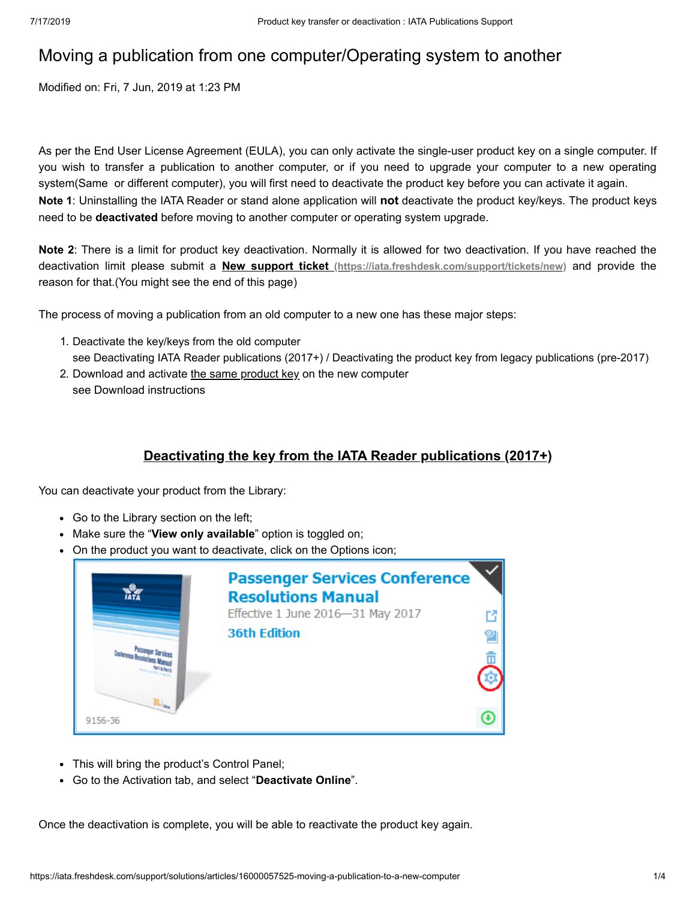# Moving a publication from one computer/Operating system to another

Modified on: Fri, 7 Jun, 2019 at 1:23 PM

As per the End User License Agreement (EULA), you can only activate the single-user product key on a single computer. If you wish to transfer a publication to another computer, or if you need to upgrade your computer to a new operating system(Same or different computer), you will first need to deactivate the product key before you can activate it again. **Note 1**: Uninstalling the IATA Reader or stand alone application will **not** deactivate the product key/keys. The product keys need to be **deactivated** before moving to another computer or operating system upgrade.

**Note 2**: There is a limit for product key deactivation. Normally it is allowed for two deactivation. If you have reached the deactivation limit please submit a **New support ticket [\(https://iata.freshdesk.com/support/tickets/new\)](https://iata.freshdesk.com/support/tickets/new)** and provide the reason for that.(You might see the end of this page)

The process of moving a publication from an old computer to a new one has these major steps:

- 1. Deactivate the key/keys from the old computer see Deactivating IATA Reader publications (2017+) / Deactivating the product key from legacy publications (pre-2017)
- 2. Download and activate the same product key on the new computer see Download instructions

# **Deactivating the key from the IATA Reader publications (2017+)**

You can deactivate your product from the Library:

- Go to the Library section on the left;
- Make sure the "**View only available**" option is toggled on;
- On the product you want to deactivate, click on the Options icon;

|         | <b>Passenger Services Conference</b><br><b>Resolutions Manual</b><br>Effective 1 June 2016-31 May 2017 |  |
|---------|--------------------------------------------------------------------------------------------------------|--|
|         | <b>36th Edition</b>                                                                                    |  |
| 9156-36 |                                                                                                        |  |

- This will bring the product's Control Panel;
- Go to the Activation tab, and select "**Deactivate Online**".

Once the deactivation is complete, you will be able to reactivate the product key again.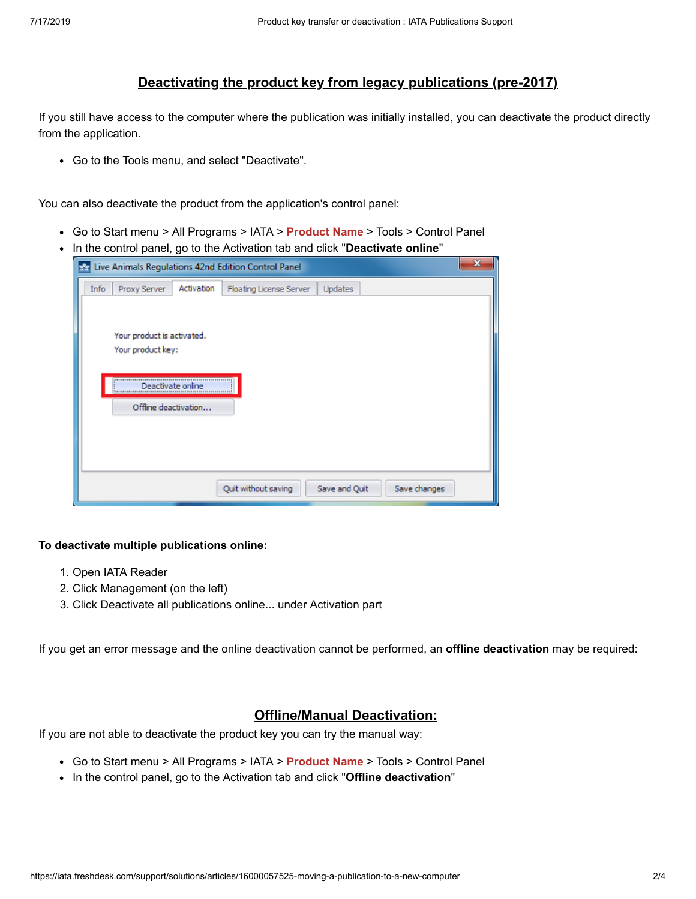# **Deactivating the product key from legacy publications (pre-2017)**

If you still have access to the computer where the publication was initially installed, you can deactivate the product directly from the application.

Go to the Tools menu, and select "Deactivate".

You can also deactivate the product from the application's control panel:

- Go to Start menu > All Programs > IATA > **Product Name** > Tools > Control Panel
- In the control panel, go to the Activation tab and click "**Deactivate online**"

| Live Animals Regulations 42nd Edition Control Panel<br>mт                | X |
|--------------------------------------------------------------------------|---|
| Activation<br>Proxy Server<br>Updates<br>Info<br>Floating License Server |   |
|                                                                          |   |
| Your product is activated.                                               |   |
| Your product key:                                                        |   |
|                                                                          |   |
| Deactivate online                                                        |   |
| Offline deactivation                                                     |   |
|                                                                          |   |
|                                                                          |   |
| Save and Quit<br>Quit without saving<br>Save changes                     |   |
|                                                                          |   |

#### **To deactivate multiple publications online:**

- 1. Open IATA Reader
- 2. Click Management (on the left)
- 3. Click Deactivate all publications online... under Activation part

If you get an error message and the online deactivation cannot be performed, an **offline deactivation** may be required:

### **Offline/Manual Deactivation:**

If you are not able to deactivate the product key you can try the manual way:

- Go to Start menu > All Programs > IATA > **Product Name** > Tools > Control Panel
- In the control panel, go to the Activation tab and click "**Offline deactivation**"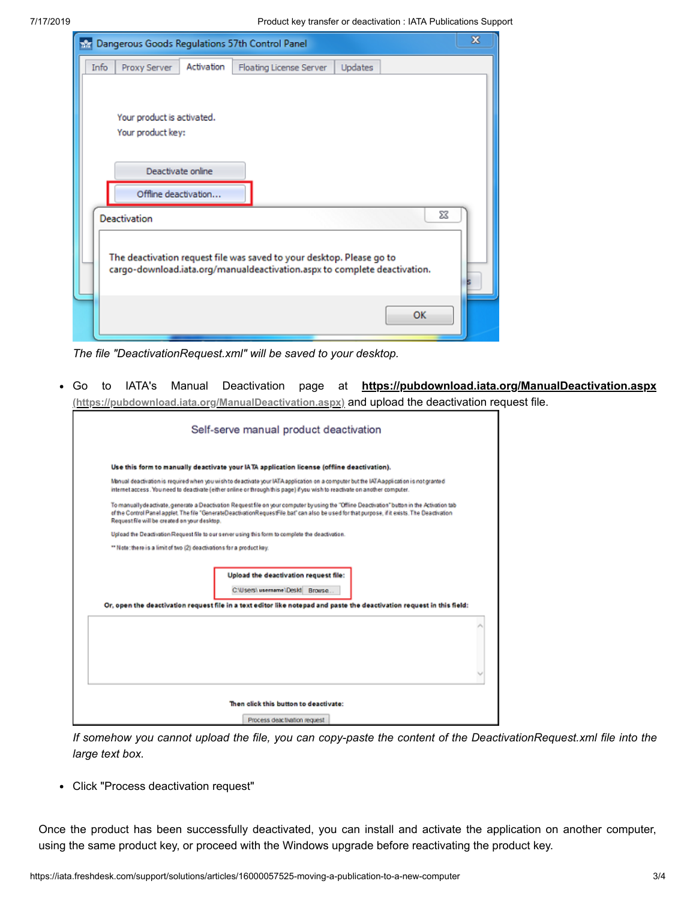7/17/2019 Product key transfer or deactivation : IATA Publications Support

| Dangerous Goods Regulations 57th Control Panel<br><b>RAT</b>                                                                                       | $\mathbf x$ |  |  |  |
|----------------------------------------------------------------------------------------------------------------------------------------------------|-------------|--|--|--|
| Activation<br>Info<br>Proxy Server<br>Updates<br>Floating License Server                                                                           |             |  |  |  |
| Your product is activated.<br>Your product key:<br>Deactivate online<br>Offline deactivation                                                       |             |  |  |  |
| <b>Deactivation</b>                                                                                                                                | X           |  |  |  |
| The deactivation request file was saved to your desktop. Please go to<br>cargo-download.iata.org/manualdeactivation.aspx to complete deactivation. |             |  |  |  |
| OK                                                                                                                                                 |             |  |  |  |

*The file "DeactivationRequest.xml" will be saved to your desktop.*

Go to IATA's Manual Deactivation page at **<https://pubdownload.iata.org/ManualDeactivation.aspx>**  $\bullet$ **(https://pubdownload.iata.org/ManualDeactivation.aspx)** and upload the deactivation request file.

|                                                                       | Self-serve manual product deactivation                                                                                                                                                                                                                                                         |
|-----------------------------------------------------------------------|------------------------------------------------------------------------------------------------------------------------------------------------------------------------------------------------------------------------------------------------------------------------------------------------|
|                                                                       | Use this form to manually deactivate your IATA application license (offline deactivation).                                                                                                                                                                                                     |
|                                                                       | Manual deactivation is required when you wish to deactivate your IATA application on a computer but the IATA application is not granted<br>internet access. You need to deactivate (either online or through this page) if you wish to reactivate on another computer.                         |
| Request file will be created on your desktop.                         | To manually deactivate, generate a Deactivation Request file on your computer by using the "Offine Deactivation" button in the Activation tab<br>of the Control Panel applet. The file "GenerateDeactivationRequestFile bat" can also be used for that purpose, if it exists. The Deactivation |
|                                                                       | Uplead the Deactivation Request file to our server using this form to complete the deactivation.                                                                                                                                                                                               |
| ** Note: there is a limit of two (2) deactivations for a product key. |                                                                                                                                                                                                                                                                                                |
|                                                                       | Upload the deactivation request file:<br>CNUsers\ username\Deskt Browse<br>Or, open the deactivation request file in a text editor like notepad and paste the deactivation request in this field:                                                                                              |
|                                                                       |                                                                                                                                                                                                                                                                                                |
|                                                                       |                                                                                                                                                                                                                                                                                                |
|                                                                       |                                                                                                                                                                                                                                                                                                |
|                                                                       | Then click this button to deactivate:                                                                                                                                                                                                                                                          |
|                                                                       | Process deactivation request                                                                                                                                                                                                                                                                   |

If somehow you cannot upload the file, you can copy-paste the content of the DeactivationRequest.xml file into the *large text box.*

Click "Process deactivation request"

Once the product has been successfully deactivated, you can install and activate the application on another computer, using the same product key, or proceed with the Windows upgrade before reactivating the product key.